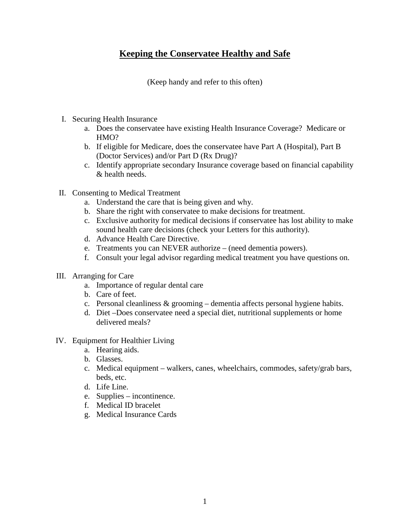## **Keeping the Conservatee Healthy and Safe**

(Keep handy and refer to this often)

- I. Securing Health Insurance
	- a. Does the conservatee have existing Health Insurance Coverage? Medicare or HMO?
	- b. If eligible for Medicare, does the conservatee have Part A (Hospital), Part B (Doctor Services) and/or Part D (Rx Drug)?
	- c. Identify appropriate secondary Insurance coverage based on financial capability & health needs.
- II. Consenting to Medical Treatment
	- a. Understand the care that is being given and why.
	- b. Share the right with conservatee to make decisions for treatment.
	- c. Exclusive authority for medical decisions if conservatee has lost ability to make sound health care decisions (check your Letters for this authority).
	- d. Advance Health Care Directive.
	- e. Treatments you can NEVER authorize (need dementia powers).
	- f. Consult your legal advisor regarding medical treatment you have questions on.
- III. Arranging for Care
	- a. Importance of regular dental care
	- b. Care of feet.
	- c. Personal cleanliness & grooming dementia affects personal hygiene habits.
	- d. Diet –Does conservatee need a special diet, nutritional supplements or home delivered meals?
- IV. Equipment for Healthier Living
	- a. Hearing aids.
	- b. Glasses.
	- c. Medical equipment walkers, canes, wheelchairs, commodes, safety/grab bars, beds, etc.
	- d. Life Line.
	- e. Supplies incontinence.
	- f. Medical ID bracelet
	- g. Medical Insurance Cards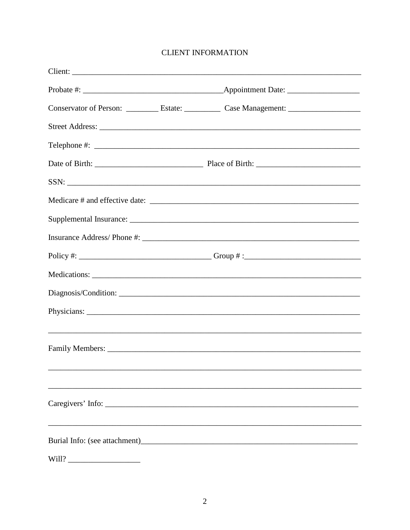## **CLIENT INFORMATION**

|       | Client:                                                                                              |
|-------|------------------------------------------------------------------------------------------------------|
|       |                                                                                                      |
|       | Conservator of Person: ____________ Estate: ____________ Case Management: __________________________ |
|       |                                                                                                      |
|       |                                                                                                      |
|       |                                                                                                      |
|       |                                                                                                      |
|       |                                                                                                      |
|       |                                                                                                      |
|       |                                                                                                      |
|       |                                                                                                      |
|       |                                                                                                      |
|       |                                                                                                      |
|       |                                                                                                      |
|       | ,我们也不能在这里的时候,我们也不能在这里的时候,我们也不能在这里的时候,我们也不能会不能在这里的时候,我们也不能会不能会不能会不能会不能会不能会不能会不能会不                     |
|       |                                                                                                      |
|       |                                                                                                      |
|       |                                                                                                      |
|       | Caregivers' Info:                                                                                    |
|       |                                                                                                      |
|       |                                                                                                      |
| Will? |                                                                                                      |